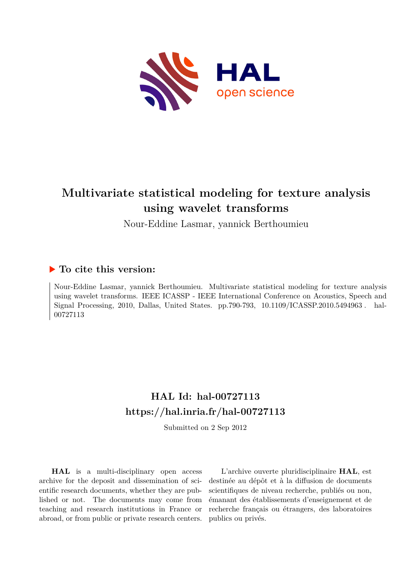

# **Multivariate statistical modeling for texture analysis using wavelet transforms**

Nour-Eddine Lasmar, yannick Berthoumieu

### **To cite this version:**

Nour-Eddine Lasmar, yannick Berthoumieu. Multivariate statistical modeling for texture analysis using wavelet transforms. IEEE ICASSP - IEEE International Conference on Acoustics, Speech and Signal Processing, 2010, Dallas, United States. pp.790-793, 10.1109/ICASSP.2010.5494963. hal-00727113ff

## **HAL Id: hal-00727113 <https://hal.inria.fr/hal-00727113>**

Submitted on 2 Sep 2012

**HAL** is a multi-disciplinary open access archive for the deposit and dissemination of scientific research documents, whether they are published or not. The documents may come from teaching and research institutions in France or abroad, or from public or private research centers.

L'archive ouverte pluridisciplinaire **HAL**, est destinée au dépôt et à la diffusion de documents scientifiques de niveau recherche, publiés ou non, émanant des établissements d'enseignement et de recherche français ou étrangers, des laboratoires publics ou privés.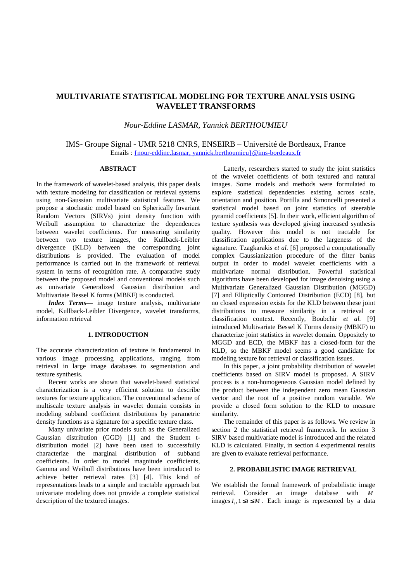### **MULTIVARIATE STATISTICAL MODELING FOR TEXTURE ANALYSIS USING WAVELET TRANSFORMS**

#### *Nour-Eddine LASMAR, Yannick BERTHOUMIEU*

#### IMS- Groupe Signal - UMR 5218 CNRS, ENSEIRB – Université de Bordeaux, France Emails : {nour-eddine.lasmar, yannick.berthoumieu}@ims-bordeaux.fr

#### **ABSTRACT**

In the framework of wavelet-based analysis, this paper deals with texture modeling for classification or retrieval systems using non-Gaussian multivariate statistical features. We propose a stochastic model based on Spherically Invariant Random Vectors (SIRVs) joint density function with Weibull assumption to characterize the dependences between wavelet coefficients. For measuring similarity between two texture images, the Kullback-Leibler divergence (KLD) between the corresponding joint distributions is provided. The evaluation of model performance is carried out in the framework of retrieval system in terms of recognition rate. A comparative study between the proposed model and conventional models such as univariate Generalized Gaussian distribution and Multivariate Bessel K forms (MBKF) is conducted.

*Index Terms—* image texture analysis, multivariate model, Kullback-Leibler Divergence, wavelet transforms, information retrieval

#### **1. INTRODUCTION**

The accurate characterization of texture is fundamental in various image processing applications, ranging from retrieval in large image databases to segmentation and texture synthesis.

Recent works are shown that wavelet-based statistical characterization is a very efficient solution to describe textures for texture application. The conventional scheme of multiscale texture analysis in wavelet domain consists in modeling subband coefficient distributions by parametric density functions as a signature for a specific texture class.

Many univariate prior models such as the Generalized Gaussian distribution (GGD) [1] and the Student tdistribution model [2] have been used to successfully characterize the marginal distribution of subband coefficients. In order to model magnitude coefficients, Gamma and Weibull distributions have been introduced to achieve better retrieval rates [3] [4]. This kind of representations leads to a simple and tractable approach but univariate modeling does not provide a complete statistical description of the textured images.

Latterly, researchers started to study the joint statistics of the wavelet coefficients of both textured and natural images. Some models and methods were formulated to explore statistical dependencies existing across scale, orientation and position. Portilla and Simoncelli presented a statistical model based on joint statistics of steerable pyramid coefficients [5]. In their work, efficient algorithm of texture synthesis was developed giving increased synthesis quality. However this model is not tractable for classification applications due to the largeness of the signature. Tzagkarakis *et al.* [6] proposed a computationally complex Gaussianization procedure of the filter banks output in order to model wavelet coefficients with a multivariate normal distribution. Powerful statistical algorithms have been developed for image denoising using a Multivariate Generalized Gaussian Distribution (MGGD) [7] and Elliptically Contoured Distribution (ECD) [8], but no closed expression exists for the KLD between these joint distributions to measure similarity in a retrieval or classification context. Recently, Boubchir *et al.* [9] introduced Multivariate Bessel K Forms density (MBKF) to characterize joint statistics in wavelet domain. Oppositely to MGGD and ECD, the MBKF has a closed-form for the KLD, so the MBKF model seems a good candidate for modeling texture for retrieval or classification issues.

In this paper, a joint probability distribution of wavelet coefficients based on SIRV model is proposed. A SIRV process is a non-homogeneous Gaussian model defined by the product between the independent zero mean Gaussian vector and the root of a positive random variable. We provide a closed form solution to the KLD to measure similarity.

The remainder of this paper is as follows. We review in section 2 the statistical retrieval framework. In section 3 SIRV based multivariate model is introduced and the related KLD is calculated. Finally, in section 4 experimental results are given to evaluate retrieval performance.

#### **2. PROBABILISTIC IMAGE RETRIEVAL**

We establish the formal framework of probabilistic image retrieval. Consider an image database with *M* images  $I_i, 1 \le i \le M$ . Each image is represented by a data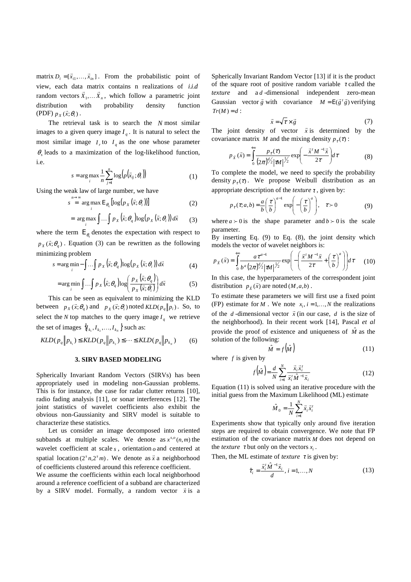matrix  $D_i = [\vec{x}_{i1}, ..., \vec{x}_{in}]$ . From the probabilistic point of view, each data matrix contains n realizations of *i.i.d* random vectors  $\overline{X}_1, \dots, \overline{X}_n$ , which follow a parametric joint distribution with probability density function  $(PDF) p_X(\vec{x}; \theta_i).$ 

The retrieval task is to search the *N* most similar images to a given query image  $I_q$ . It is natural to select the most similar image  $I_r$  to  $I_q$  as the one whose parameter  $\theta_s$  leads to a maximization of the log-likelihood function, i.e.

$$
s = \arg\max_{i} \frac{1}{n} \sum_{j=1}^{n} \log(p(\bar{x}_{ij}; \theta_i))
$$
 (1)

Using the weak law of large number, we have

$$
s \stackrel{n \to \infty}{=} \arg \max_{i} \mathcal{E}_{\theta_{q}} \left[ \log(p_{X}(\vec{x}; \theta_{i})) \right]
$$
 (2)

$$
= \arg \max_{i} \int \dots \int p_{X} (\vec{x}; \theta_{q}) \log (p_{X} (\vec{x}; \theta_{i})) d\vec{x}
$$
 (3)

where the term  $E_{\theta_q}$  denotes the expectation with respect to  $p_X(\vec{x}; \theta_q)$ . Equation (3) can be rewritten as the following minimizing problem

$$
s = \arg\min_{i} - \int \dots \int p_X(\vec{x}; \theta_q) \log(p_X(\vec{x}; \theta_i)) d\vec{x}
$$
 (4)

$$
= \arg\min_{i} \int \dots \int p_X(\vec{x}; \theta_q) \log \left( \frac{p_X(\vec{x}; \theta_q)}{p_X(\vec{x}; \theta_i)} \right) d\vec{x}
$$
 (5)

This can be seen as equivalent to minimizing the KLD between  $p_X(\vec{x}; \theta_q)$  and  $p_X(\vec{x}; \theta_i)$  noted  $KLD(p_q || p_i)$ . So, to select the *N* top matches to the query image  $I_q$  we retrieve the set of images  $\{I_{k_1}, I_{k_2},..., I_{k_N}\}\$  such as:

$$
KLD(p_q || p_{k_1}) \leq KLD(p_q || p_{k_2}) \leq \dots \leq KLD(p_q || p_{k_N}) \tag{6}
$$

#### **3. SIRV BASED MODELING**

Spherically Invariant Random Vectors (SIRVs) has been appropriately used in modeling non-Gaussian problems. This is for instance, the case for radar clutter returns [10], radio fading analysis [11], or sonar interferences [12]. The joint statistics of wavelet coefficients also exhibit the obvious non-Gaussianity and SIRV model is suitable to characterize these statistics.

Let us consider an image decomposed into oriented subbands at multiple scales. We denote as  $x^{s,o}(n,m)$  the wavelet coefficient at scale *s* , orientation *o* and centered at spatial location  $(2^{s}n, 2^{s}m)$ . We denote as  $\vec{x}$  a neighborhood of coefficients clustered around this reference coefficient.

We assume the coefficients within each local neighborhood around a reference coefficient of a subband are characterized around a reference coefficient of a subband are characterized<br>by a SIRV model. Formally, a random vector  $\vec{x}$  is a Spherically Invariant Random Vector [13] if it is the product of the square root of positive random variable  $\tau$  called the *texture* and a *d* -dimensional independent zero-mean Gaussian vector  $\vec{g}$  with covariance  $M = E(\vec{g}'|\vec{g})$  verifying  $Tr(M) = d$ :

$$
\vec{x} = \sqrt{\tau} \times \vec{g} \tag{7}
$$

The joint density of vector  $\vec{x}$  is determined by the covariance matrix *M* and the mixing density  $p_\tau(\tau)$ :

$$
p_{\bar{x}}(\vec{x}) = \int_0^{+\infty} \frac{p_{\tau}(\tau)}{(2\pi)^{d/2} |\tau M|^{1/2}} \exp\left(-\frac{\vec{x}^t M^{-1} \vec{x}}{2\tau}\right) d\tau
$$
 (8)

To complete the model, we need to specify the probability density  $p_{\tau}(\tau)$ . We propose Weibull distribution as an appropriate description of the *texture*  $\tau$ , given by:

$$
p_{\tau}(\tau; a, b) = \frac{a}{b} \left(\frac{\tau}{b}\right)^{a-1} \exp\left(-\left(\frac{\tau}{b}\right)^{a}\right), \quad \tau > 0 \tag{9}
$$

where  $a > 0$  is the shape parameter and  $b > 0$  is the scale parameter.

By inserting Eq. (9) to Eq. (8), the joint density which models the vector of wavelet neighbors is:

$$
p_{\vec{x}}\left(\vec{x}\right) = \int_0^{+\infty} \frac{a\tau^{a-1}}{b^a \left(2\pi\right)^{d/2} \left|\vec{x}M\right|^{1/2}} \exp\left(-\left(\frac{\vec{x}^t M^{-1} \vec{x}}{2\tau} + \left(\frac{\tau}{b}\right)^a\right)\right) d\tau \tag{10}
$$

In this case, the hyperparameters of the correspondent joint distribution  $p_{\bar{x}}(\vec{x})$  are noted  $(M, a, b)$ .

To estimate these parameters we will first use a fixed point (FP) estimate for *M*. We note  $x_i$ ,  $i = 1,...,N$  the realizations of the *d*-dimensional vector  $\bar{x}$  (in our case, *d* is the size of the neighborhood). In their recent work [14], Pascal *et al*  provide the proof of existence and uniqueness of  $\hat{M}$  as the solution of the following:

$$
\hat{M} = f(\hat{M})\tag{11}
$$

where *f* is given by

$$
f(\hat{M}) = \frac{d}{N} \sum_{i=1}^{N} \frac{\vec{x}_i \vec{x}_i^T}{\vec{x}_i^T \hat{M}^{-1} \vec{x}_i}
$$
 (12)

Equation (11) is solved using an iterative procedure with the initial guess from the Maximum Likelihood (ML) estimate

$$
\hat{M}_0 = \frac{1}{N} \sum_{i=1}^N \vec{x}_i \vec{x}_i^t
$$

Experiments show that typically only around five iteration steps are required to obtain convergence. We note that FP estimation of the covariance matrix *M* does not depend on the *texture*  $\tau$  but only on the vectors  $x_i$ .

Then, the ML estimate of *texture*  $\tau$  is given by:

$$
\hat{\tau}_i = \frac{\vec{x}_i^t \hat{M}^{-1} \vec{x}_i}{d}, \, i = 1, ..., N \tag{13}
$$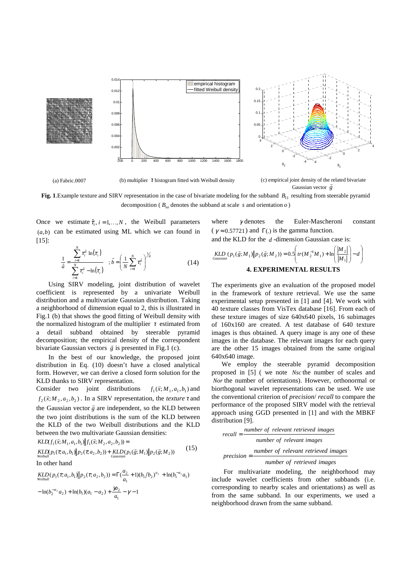

(a) Fabric.0007 (b) multiplier  $\tau$  histogram fitted with Weibull density



(c) empirical joint density of the related bivariate

Gaussian vector *g* **Fig. 1**.Example texture and SIRV representation in the case of bivariate modeling for the subband  $B_{11}$  resulting from steerable pyramid

decomposition ( $B_{\infty}$  denotes the subband at scale *s* and orientation *o*)

Once we estimate  $\hat{\tau}_i$ ,  $i = 1,...,N$ , the Weibull parameters  $(a,b)$  can be estimated using ML which we can found in [15]:

$$
\frac{1}{\hat{a}} = \frac{\sum_{i=1}^{N} \tau_i^{\hat{a}} \ln(\tau_i)}{\sum_{i=1}^{N} \tau_i^{\hat{a}} - \ln(\tau_i)} \quad ; \hat{b} = \left(\frac{1}{N} \sum_{i=1}^{N} \tau_i^{\hat{a}}\right)^{\frac{1}{\hat{a}}} \tag{14}
$$

Using SIRV modeling, joint distribution of wavelet coefficient is represented by a univariate Weibull distribution and a multivariate Gaussian distribution. Taking a neighborhood of dimension equal to 2, this is illustrated in Fig.1 (b) that shows the good fitting of Weibull density with the normalized histogram of the multiplier  $\tau$  estimated from detail subband obtained by steerable pyramid decomposition; the empirical density of the correspondent bivariate Gaussian vectors  $\vec{g}$  is presented in Fig.1 (c).

In the best of our knowledge, the proposed joint distribution in Eq. (10) doesn't have a closed analytical form. However, we can derive a closed form solution for the KLD thanks to SIRV representation.

Consider two joint distributions  $\vec{x}$ ;  $M_1, a_1, b_1$ ) and  $f_2(\vec{x}; M_2, a_2, b_2)$ . In a SIRV representation, the *texture*  $\tau$  and the Gaussian vector  $\vec{g}$  are independent, so the KLD between the two joint distributions is the sum of the KLD between the KLD of the two Weibull distributions and the KLD between the two multivariate Gaussian densities:

$$
KLD(f_1(\vec{x}; M_1, a_1, b_1) || f_1(\vec{x}; M_2, a_2, b_2)) =
$$
  
\n
$$
KLD(p_1(\tau; a_1, b_1) || p_2(\tau; a_2, b_2)) + KLD(p_1(\vec{g}; M_1) || p_2(\vec{g}; M_2))
$$
\nIn other hand

$$
KLD(p_1(\tau; a_1, b_1) || p_2(\tau; a_2, b_2)) = \Gamma(\frac{a_2}{a_1} + 1)(b_1/b_2)^{a_2} + \ln(b_1^{-a_1}a_1)
$$

$$
-\ln(b_2^{-a_2}a_2) + \ln(b_1)(a_1 - a_2) + \frac{\gamma a_2}{a_1} - \gamma - 1
$$

where  $\gamma$  denotes the Euler-Mascheroni constant  $(\gamma \approx 0.57721)$  and  $\Gamma$ . is the gamma function.

and the KLD for the *d* -dimension Gaussian case is:

$$
KLD_{Gaussian}(p_1(\vec{g};M_1) \| p_2(\vec{g};M_2)) = 0.5 \left( tr(M_2^{-1}M_1) + \ln \left( \frac{|M_2|}{|M_1|} \right) - d \right)
$$
  
**4. EXPERIMENTAL RESULTS**

The experiments give an evaluation of the proposed model in the framework of texture retrieval. We use the same experimental setup presented in [1] and [4]. We work with 40 texture classes from VisTex database [16]. From each of these texture images of size 640x640 pixels, 16 subimages of 160x160 are created. A test database of 640 texture images is thus obtained. A query image is any one of these images in the database. The relevant images for each query are the other 15 images obtained from the same original 640x640 image.

We employ the steerable pyramid decomposition proposed in [5] ( we note *Nsc* the number of scales and *Nor* the number of orientations). However, orthonormal or biorthogonal wavelet representations can be used. We use the conventional criterion of *precision*/ *recall* to compare the performance of the proposed SIRV model with the retrieval approach using GGD presented in [1] and with the MBKF distribution [9].

$$
recall = \frac{number\ of\ relevant\ retrieved\ images}{number\ of\ relevant\ images}
$$

$$
precision = \frac{number\ of\ relevant\ retrieved\ images}{number\ of\ retrieved\ images}
$$

For multivariate modeling, the neighborhood may include wavelet coefficients from other subbands (i.e. corresponding to nearby scales and orientations) as well as from the same subband. In our experiments, we used a neighborhood drawn from the same subband.